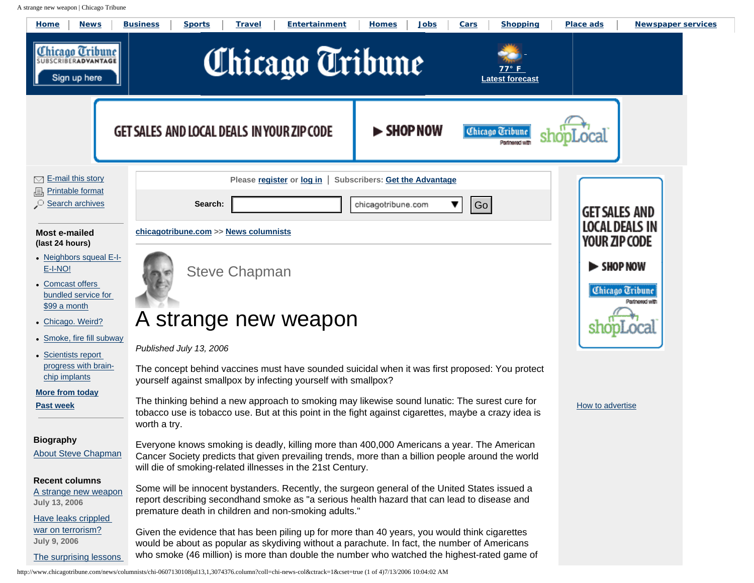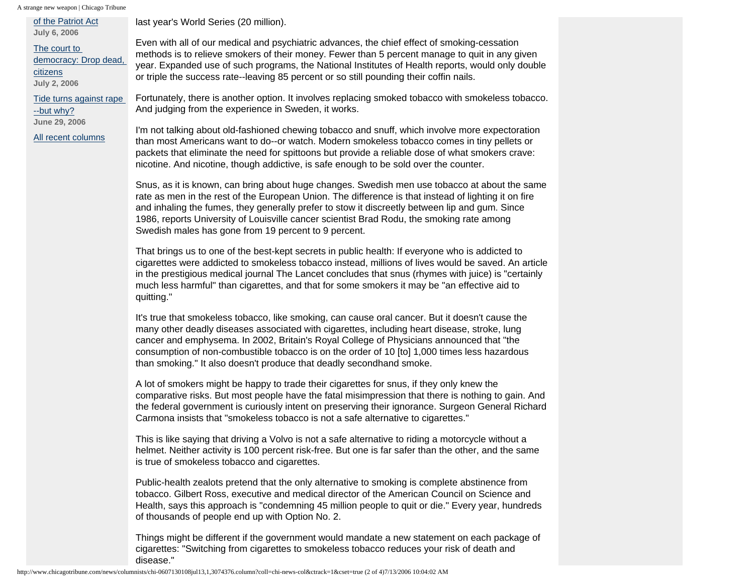A strange new weapon | Chicago Tribune [of the Patriot Act](http://www.chicagotribune.com/news/columnists/chi-0607060080jul06,1,4385099.column?coll=chi-news-col) **July 6, 2006** [The court to](http://www.chicagotribune.com/news/columnists/chi-0607020378jul02,1,5761357.column?coll=chi-news-col) [democracy: Drop dead,](http://www.chicagotribune.com/news/columnists/chi-0607020378jul02,1,5761357.column?coll=chi-news-col)  [citizens](http://www.chicagotribune.com/news/columnists/chi-0607020378jul02,1,5761357.column?coll=chi-news-col) **July 2, 2006** [Tide turns against rape](http://www.chicagotribune.com/news/columnists/chi-0606290013jun29,1,5826898.column?coll=chi-news-col) [--but why?](http://www.chicagotribune.com/news/columnists/chi-0606290013jun29,1,5826898.column?coll=chi-news-col) **June 29, 2006** [All recent columns](http://www.chicagotribune.com/news/columnists/chi-stevechapman,1,6042355.columnist?coll=chi-news-col) last year's World Series (20 million). Even with all of our medical and psychiatric advances, the chief effect of smoking-cessation methods is to relieve smokers of their money. Fewer than 5 percent manage to quit in any given year. Expanded use of such programs, the National Institutes of Health reports, would only double or triple the success rate--leaving 85 percent or so still pounding their coffin nails. Fortunately, there is another option. It involves replacing smoked tobacco with smokeless tobacco. And judging from the experience in Sweden, it works. I'm not talking about old-fashioned chewing tobacco and snuff, which involve more expectoration than most Americans want to do--or watch. Modern smokeless tobacco comes in tiny pellets or packets that eliminate the need for spittoons but provide a reliable dose of what smokers crave: nicotine. And nicotine, though addictive, is safe enough to be sold over the counter. Snus, as it is known, can bring about huge changes. Swedish men use tobacco at about the same rate as men in the rest of the European Union. The difference is that instead of lighting it on fire and inhaling the fumes, they generally prefer to stow it discreetly between lip and gum. Since 1986, reports University of Louisville cancer scientist Brad Rodu, the smoking rate among Swedish males has gone from 19 percent to 9 percent. That brings us to one of the best-kept secrets in public health: If everyone who is addicted to cigarettes were addicted to smokeless tobacco instead, millions of lives would be saved. An article in the prestigious medical journal The Lancet concludes that snus (rhymes with juice) is "certainly much less harmful" than cigarettes, and that for some smokers it may be "an effective aid to quitting." It's true that smokeless tobacco, like smoking, can cause oral cancer. But it doesn't cause the many other deadly diseases associated with cigarettes, including heart disease, stroke, lung cancer and emphysema. In 2002, Britain's Royal College of Physicians announced that "the consumption of non-combustible tobacco is on the order of 10 [to] 1,000 times less hazardous than smoking." It also doesn't produce that deadly secondhand smoke. A lot of smokers might be happy to trade their cigarettes for snus, if they only knew the comparative risks. But most people have the fatal misimpression that there is nothing to gain. And the federal government is curiously intent on preserving their ignorance. Surgeon General Richard Carmona insists that "smokeless tobacco is not a safe alternative to cigarettes." This is like saying that driving a Volvo is not a safe alternative to riding a motorcycle without a helmet. Neither activity is 100 percent risk-free. But one is far safer than the other, and the same is true of smokeless tobacco and cigarettes.

Public-health zealots pretend that the only alternative to smoking is complete abstinence from tobacco. Gilbert Ross, executive and medical director of the American Council on Science and Health, says this approach is "condemning 45 million people to quit or die." Every year, hundreds of thousands of people end up with Option No. 2.

Things might be different if the government would mandate a new statement on each package of cigarettes: "Switching from cigarettes to smokeless tobacco reduces your risk of death and disease."